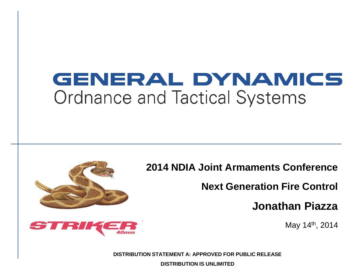#### GENERAL DYNAMICS **Ordnance and Tactical Systems**



**Next Generation Fire Control**

**Jonathan Piazza**

May 14th, 2014

**DISTRIBUTION STATEMENT A: APPROVED FOR PUBLIC RELEASE DISTRIBUTION IS UNLIMITED**

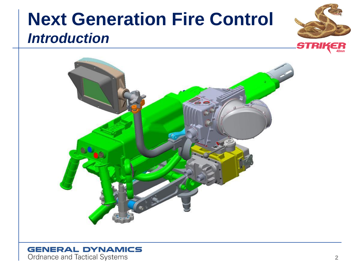#### **Next Generation Fire Control** *Introduction*





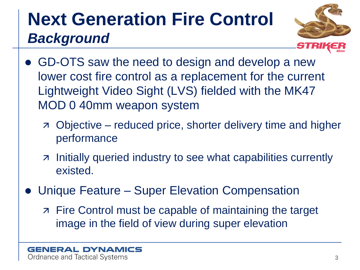## **Next Generation Fire Control** *Background*



- GD-OTS saw the need to design and develop a new lower cost fire control as a replacement for the current Lightweight Video Sight (LVS) fielded with the MK47 MOD 0 40mm weapon system
	- Objective reduced price, shorter delivery time and higher performance
	- z Initially queried industry to see what capabilities currently existed.
- Unique Feature Super Elevation Compensation
	- Fire Control must be capable of maintaining the target image in the field of view during super elevation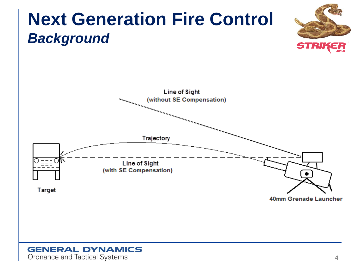## **Next Generation Fire Control** *Background*



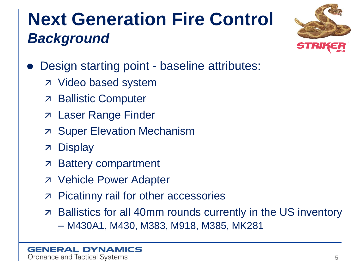# **Next Generation Fire Control** *Background*



- Design starting point baseline attributes:
	- Video based system
	- Ballistic Computer
	- Laser Range Finder
	- **7 Super Elevation Mechanism**
	- Display
	- **Battery compartment**
	- Vehicle Power Adapter
	- **Picatinny rail for other accessories**
	- Ballistics for all 40mm rounds currently in the US inventory – M430A1, M430, M383, M918, M385, MK281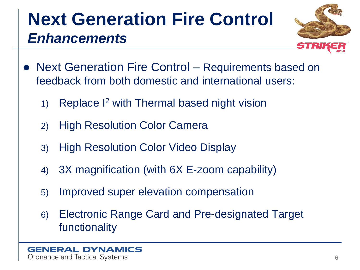## **Next Generation Fire Control** *Enhancements*



- Next Generation Fire Control Requirements based on feedback from both domestic and international users:
	- 1) Replace I<sup>2</sup> with Thermal based night vision
	- 2) High Resolution Color Camera
	- 3) High Resolution Color Video Display
	- 4) 3X magnification (with 6X E-zoom capability)
	- 5) Improved super elevation compensation
	- 6) Electronic Range Card and Pre-designated Target functionality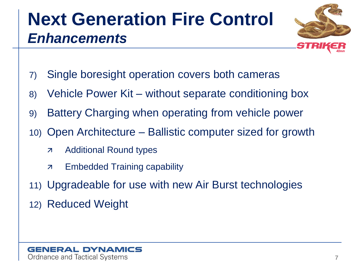## **Next Generation Fire Control** *Enhancements*



- 7) Single boresight operation covers both cameras
- 8) Vehicle Power Kit without separate conditioning box
- 9) Battery Charging when operating from vehicle power
- 10) Open Architecture Ballistic computer sized for growth
	- **Additional Round types**
	- Embedded Training capability
- 11) Upgradeable for use with new Air Burst technologies
- 12) Reduced Weight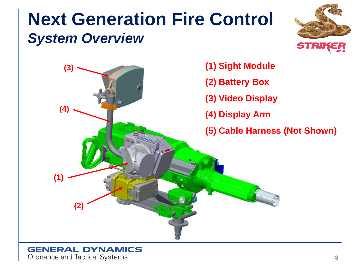#### **Next Generation Fire Control** *System Overview*





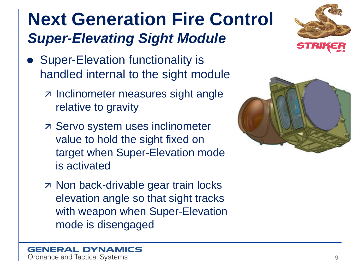## **Next Generation Fire Control** *Super-Elevating Sight Module*



- Super-Elevation functionality is handled internal to the sight module
	- z Inclinometer measures sight angle relative to gravity
	- Servo system uses inclinometer value to hold the sight fixed on target when Super-Elevation mode is activated
	- **7 Non back-drivable gear train locks** elevation angle so that sight tracks with weapon when Super-Elevation mode is disengaged

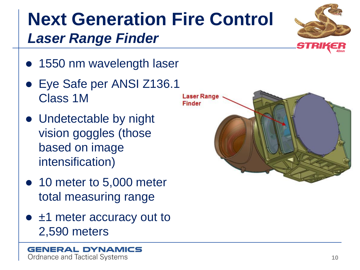## **Next Generation Fire Control** *Laser Range Finder*



- 1550 nm wavelength laser
- Eye Safe per ANSI Z136.1 Class 1M
- Undetectable by night vision goggles (those based on image intensification)
- 10 meter to 5,000 meter total measuring range
- ±1 meter accuracy out to 2,590 meters

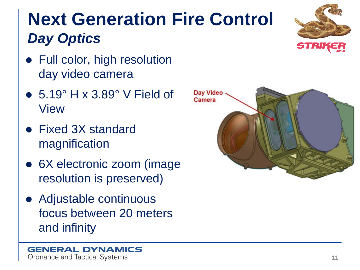## **Next Generation Fire Control** *Day Optics*



- Full color, high resolution day video camera
- 5.19° H x 3.89° V Field of View
- Fixed 3X standard magnification
- 6X electronic zoom (image resolution is preserved)
- Adjustable continuous focus between 20 meters and infinity

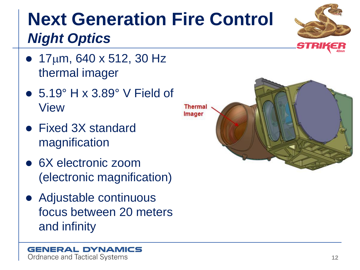#### **Next Generation Fire Control** *Night Optics*

- $17 \mu m$ , 640 x 512, 30 Hz thermal imager
- 5.19° H x 3.89° V Field of View
- Fixed 3X standard magnification
- 6X electronic zoom (electronic magnification)
- Adjustable continuous focus between 20 meters and infinity



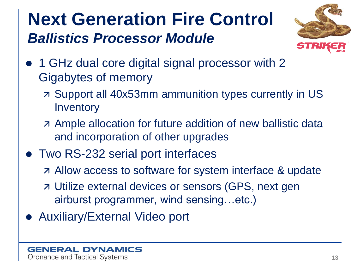## **Next Generation Fire Control** *Ballistics Processor Module*



- 1 GHz dual core digital signal processor with 2 Gigabytes of memory
	- Support all 40x53mm ammunition types currently in US **Inventory**
	- Ample allocation for future addition of new ballistic data and incorporation of other upgrades
- Two RS-232 serial port interfaces
	- Allow access to software for system interface & update
	- Utilize external devices or sensors (GPS, next gen airburst programmer, wind sensing…etc.)
- Auxiliary/External Video port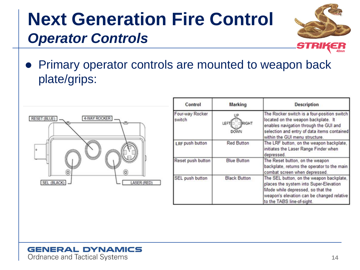## **Next Generation Fire Control** *Operator Controls*



 Primary operator controls are mounted to weapon back plate/grips:

| RESET (BLUE)     | 4-WAY ROCKER |
|------------------|--------------|
| ۰                |              |
| ö<br>SEL (BLACK) | LASER (RED)  |

| Control                   | <b>Marking</b>        | <b>Description</b>                                                                                                                                                                                            |
|---------------------------|-----------------------|---------------------------------------------------------------------------------------------------------------------------------------------------------------------------------------------------------------|
| Four-way Rocker<br>switch | RIGHT<br>LEFT<br>DOWN | The Rocker switch is a four-position switch<br>located on the weapon backplate. It<br>enables navigation through the GUI and<br>selection and entry of data items contained<br>within the GUI menu structure. |
| LRF push button           | <b>Red Button</b>     | The LRF button, on the weapon backplate,<br>initiates the Laser Range Finder when<br>depressed.                                                                                                               |
| Reset push button         | <b>Blue Button</b>    | The Reset button, on the weapon<br>backplate, returns the operator to the main<br>combat screen when depressed.                                                                                               |
| SEL push button           | <b>Black Button</b>   | The SEL button, on the weapon backplate,<br>places the system into Super-Elevation<br>Mode while depressed, so that the<br>weapon's elevation can be changed relative<br>to the TABS line-of-sight.           |

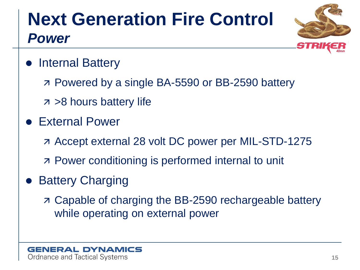# **Next Generation Fire Control** *Power*



- Internal Battery
	- Powered by a single BA-5590 or BB-2590 battery
	- $7 > 8$  hours battery life
- External Power
	- Accept external 28 volt DC power per MIL-STD-1275
	- Power conditioning is performed internal to unit
- Battery Charging
	- Capable of charging the BB-2590 rechargeable battery while operating on external power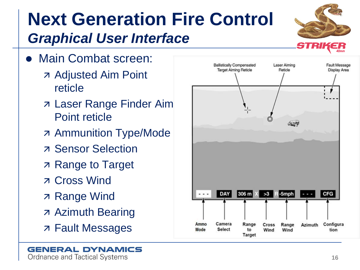## **Next Generation Fire Control** *Graphical User Interface*

- Main Combat screen:
	- Adjusted Aim Point reticle
	- Laser Range Finder Aim Point reticle
	- **Ammunition Type/Mode**
	- **z** Sensor Selection
	- Range to Target
	- Cross Wind
	- **7 Range Wind**
	- Azimuth Bearing
	- Fault Messages

**GENERAL DYNAMICS** 

Ordnance and Tactical Systems



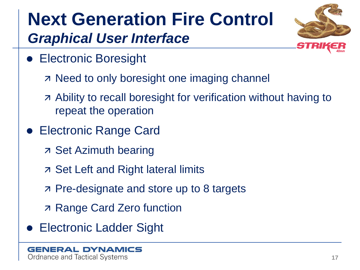## **Next Generation Fire Control** *Graphical User Interface*



- Electronic Boresight
	- **R** Need to only boresight one imaging channel
	- Ability to recall boresight for verification without having to repeat the operation
- Electronic Range Card
	- Set Azimuth bearing
	- Set Left and Right lateral limits
	- Pre-designate and store up to 8 targets
	- Range Card Zero function
- Electronic Ladder Sight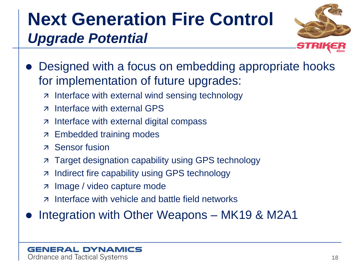## **Next Generation Fire Control** *Upgrade Potential*



- Designed with a focus on embedding appropriate hooks for implementation of future upgrades:
	- $\overline{z}$  Interface with external wind sensing technology
	- z Interface with external GPS
	- $\overline{z}$  Interface with external digital compass
	- **Embedded training modes**
	- Sensor fusion
	- **Target designation capability using GPS technology**
	- **7** Indirect fire capability using GPS technology
	- Image / video capture mode
	- z Interface with vehicle and battle field networks

Integration with Other Weapons – MK19 & M2A1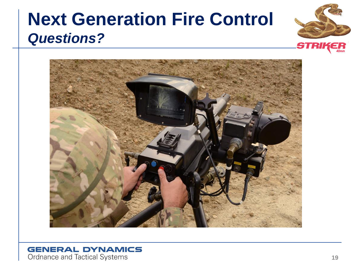## **Next Generation Fire Control** *Questions?*





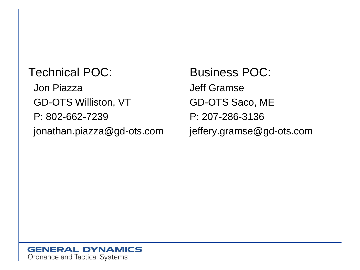Technical POC: Jon Piazza GD-OTS Williston, VT P: 802-662-7239 jonathan.piazza@gd-ots.com

Business POC: Jeff Gramse GD-OTS Saco, ME P: 207-286-3136 jeffery.gramse@gd-ots.com